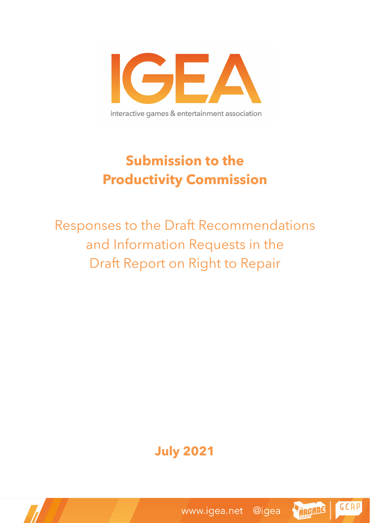

# **Submission to the Productivity Commission**

Responses to the Draft Recommendations and Information Requests in the Draft Report on Right to Repair

## **July 2021**



GCAP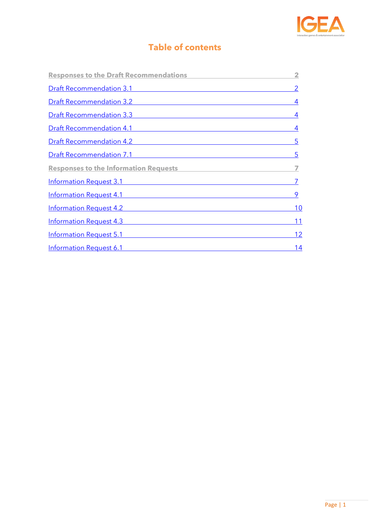

## **Table of contents**

| <b>Responses to the Draft Recommendations</b>            | $\overline{\mathbf{2}}$ |
|----------------------------------------------------------|-------------------------|
| <b>Draft Recommendation 3.1</b> Draft Recommendation 3.1 |                         |
| Draft Recommendation 3.2                                 | 4                       |
| <u>Draft Recommendation 3.3</u>                          | 4                       |
| <u>Draft Recommendation 4.1</u>                          | 4                       |
| <b>Draft Recommendation 4.2</b>                          | 5                       |
| <b>Draft Recommendation 7.1</b>                          | 5                       |
| <b>Responses to the Information Requests</b>             |                         |
| Information Request 3.1                                  |                         |
| Information Request 4.1                                  | 9                       |
| <b>Information Request 4.2</b>                           | 10                      |
| <b>Information Request 4.3</b>                           | 11                      |
| Information Request 5.1                                  | 12                      |
| <b>Information Request 6.1</b>                           | 14                      |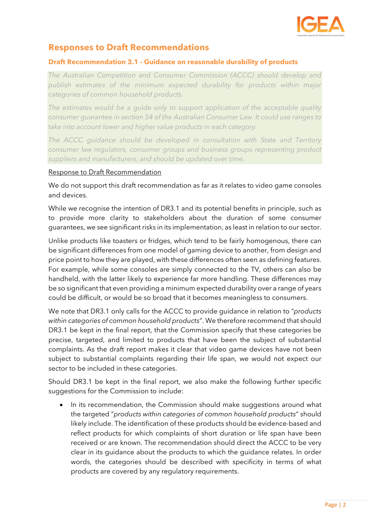

### <span id="page-2-0"></span>**Responses to Draft Recommendations**

#### <span id="page-2-1"></span>**Draft Recommendation 3.1 - Guidance on reasonable durability of products**

*The Australian Competition and Consumer Commission (ACCC) should develop and publish estimates of the minimum expected durability for products within major categories of common household products.*

*The estimates would be a guide only to support application of the acceptable quality consumer guarantee in section 54 of the Australian Consumer Law. It could use ranges to take into account lower and higher value products in each category.*

*The ACCC guidance should be developed in consultation with State and Territory consumer law regulators, consumer groups and business groups representing product suppliers and manufacturers, and should be updated over time.*

#### Response to Draft Recommendation

We do not support this draft recommendation as far as it relates to video game consoles and devices.

While we recognise the intention of DR3.1 and its potential benefits in principle, such as to provide more clarity to stakeholders about the duration of some consumer guarantees, we see significant risks in its implementation, as least in relation to our sector.

Unlike products like toasters or fridges, which tend to be fairly homogenous, there can be significant differences from one model of gaming device to another, from design and price point to how they are played, with these differences often seen as defining features. For example, while some consoles are simply connected to the TV, others can also be handheld, with the latter likely to experience far more handling. These differences may be so significant that even providing a minimum expected durability over a range of years could be difficult, or would be so broad that it becomes meaningless to consumers.

We note that DR3.1 only calls for the ACCC to provide guidance in relation to "*products within categories of common household products*". We therefore recommend that should DR3.1 be kept in the final report, that the Commission specify that these categories be precise, targeted, and limited to products that have been the subject of substantial complaints. As the draft report makes it clear that video game devices have not been subject to substantial complaints regarding their life span, we would not expect our sector to be included in these categories.

Should DR3.1 be kept in the final report, we also make the following further specific suggestions for the Commission to include:

• In its recommendation, the Commission should make suggestions around what the targeted "*products within categories of common household products*" should likely include. The identification of these products should be evidence-based and reflect products for which complaints of short duration or life span have been received or are known. The recommendation should direct the ACCC to be very clear in its guidance about the products to which the guidance relates. In order words, the categories should be described with specificity in terms of what products are covered by any regulatory requirements.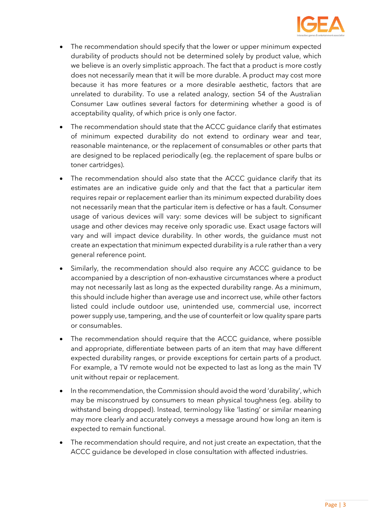

- The recommendation should specify that the lower or upper minimum expected durability of products should not be determined solely by product value, which we believe is an overly simplistic approach. The fact that a product is more costly does not necessarily mean that it will be more durable. A product may cost more because it has more features or a more desirable aesthetic, factors that are unrelated to durability. To use a related analogy, section 54 of the Australian Consumer Law outlines several factors for determining whether a good is of acceptability quality, of which price is only one factor.
- The recommendation should state that the ACCC guidance clarify that estimates of minimum expected durability do not extend to ordinary wear and tear, reasonable maintenance, or the replacement of consumables or other parts that are designed to be replaced periodically (eg. the replacement of spare bulbs or toner cartridges).
- The recommendation should also state that the ACCC quidance clarify that its estimates are an indicative guide only and that the fact that a particular item requires repair or replacement earlier than its minimum expected durability does not necessarily mean that the particular item is defective or has a fault. Consumer usage of various devices will vary: some devices will be subject to significant usage and other devices may receive only sporadic use. Exact usage factors will vary and will impact device durability. In other words, the guidance must not create an expectation that minimum expected durability is a rule rather than a very general reference point.
- Similarly, the recommendation should also require any ACCC guidance to be accompanied by a description of non-exhaustive circumstances where a product may not necessarily last as long as the expected durability range. As a minimum, this should include higher than average use and incorrect use, while other factors listed could include outdoor use, unintended use, commercial use, incorrect power supply use, tampering, and the use of counterfeit or low quality spare parts or consumables.
- The recommendation should require that the ACCC quidance, where possible and appropriate, differentiate between parts of an item that may have different expected durability ranges, or provide exceptions for certain parts of a product. For example, a TV remote would not be expected to last as long as the main TV unit without repair or replacement.
- In the recommendation, the Commission should avoid the word 'durability', which may be misconstrued by consumers to mean physical toughness (eg. ability to withstand being dropped). Instead, terminology like 'lasting' or similar meaning may more clearly and accurately conveys a message around how long an item is expected to remain functional.
- The recommendation should require, and not just create an expectation, that the ACCC guidance be developed in close consultation with affected industries.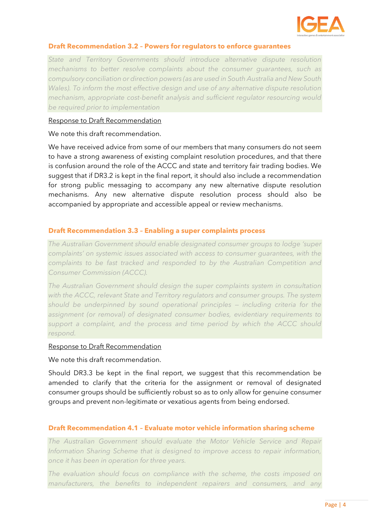

#### <span id="page-4-0"></span>**Draft Recommendation 3.2 – Powers for regulators to enforce guarantees**

*State and Territory Governments should introduce alternative dispute resolution mechanisms to better resolve complaints about the consumer guarantees, such as compulsory conciliation or direction powers (as are used in South Australia and New South Wales). To inform the most effective design and use of any alternative dispute resolution mechanism, appropriate cost-benefit analysis and sufficient regulator resourcing would be required prior to implementation*

#### Response to Draft Recommendation

We note this draft recommendation.

We have received advice from some of our members that many consumers do not seem to have a strong awareness of existing complaint resolution procedures, and that there is confusion around the role of the ACCC and state and territory fair trading bodies. We suggest that if DR3.2 is kept in the final report, it should also include a recommendation for strong public messaging to accompany any new alternative dispute resolution mechanisms. Any new alternative dispute resolution process should also be accompanied by appropriate and accessible appeal or review mechanisms.

#### <span id="page-4-1"></span>**Draft Recommendation 3.3 – Enabling a super complaints process**

*The Australian Government should enable designated consumer groups to lodge 'super complaints' on systemic issues associated with access to consumer guarantees, with the complaints to be fast tracked and responded to by the Australian Competition and Consumer Commission (ACCC).* 

*The Australian Government should design the super complaints system in consultation with the ACCC, relevant State and Territory regulators and consumer groups. The system should be underpinned by sound operational principles — including criteria for the assignment (or removal) of designated consumer bodies, evidentiary requirements to support a complaint, and the process and time period by which the ACCC should respond.*

#### Response to Draft Recommendation

We note this draft recommendation.

Should DR3.3 be kept in the final report, we suggest that this recommendation be amended to clarify that the criteria for the assignment or removal of designated consumer groups should be sufficiently robust so as to only allow for genuine consumer groups and prevent non-legitimate or vexatious agents from being endorsed.

#### <span id="page-4-2"></span>**Draft Recommendation 4.1 – Evaluate motor vehicle information sharing scheme**

*The Australian Government should evaluate the Motor Vehicle Service and Repair Information Sharing Scheme that is designed to improve access to repair information, once it has been in operation for three years.* 

*The evaluation should focus on compliance with the scheme, the costs imposed on manufacturers, the benefits to independent repairers and consumers, and any*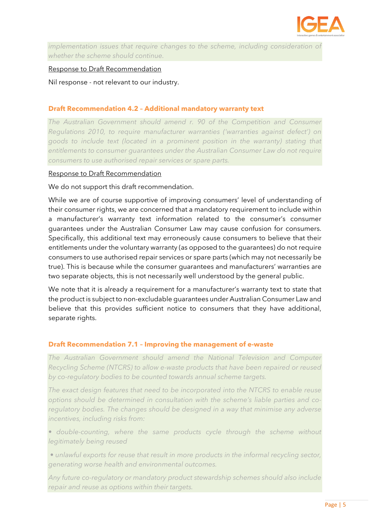

*implementation issues that require changes to the scheme, including consideration of whether the scheme should continue.*

#### Response to Draft Recommendation

Nil response - not relevant to our industry.

#### <span id="page-5-0"></span>**Draft Recommendation 4.2 – Additional mandatory warranty text**

*The Australian Government should amend r. 90 of the Competition and Consumer Regulations 2010, to require manufacturer warranties ('warranties against defect') on goods to include text (located in a prominent position in the warranty) stating that entitlements to consumer guarantees under the Australian Consumer Law do not require consumers to use authorised repair services or spare parts.*

#### Response to Draft Recommendation

We do not support this draft recommendation.

While we are of course supportive of improving consumers' level of understanding of their consumer rights, we are concerned that a mandatory requirement to include within a manufacturer's warranty text information related to the consumer's consumer guarantees under the Australian Consumer Law may cause confusion for consumers. Specifically, this additional text may erroneously cause consumers to believe that their entitlements under the voluntary warranty (as opposed to the guarantees) do not require consumers to use authorised repair services or spare parts (which may not necessarily be true). This is because while the consumer guarantees and manufacturers' warranties are two separate objects, this is not necessarily well understood by the general public.

We note that it is already a requirement for a manufacturer's warranty text to state that the product is subject to non-excludable guarantees under Australian Consumer Law and believe that this provides sufficient notice to consumers that they have additional, separate rights.

#### <span id="page-5-1"></span>**Draft Recommendation 7.1 – Improving the management of e-waste**

*The Australian Government should amend the National Television and Computer Recycling Scheme (NTCRS) to allow e-waste products that have been repaired or reused by co-regulatory bodies to be counted towards annual scheme targets.* 

*The exact design features that need to be incorporated into the NTCRS to enable reuse options should be determined in consultation with the scheme's liable parties and coregulatory bodies. The changes should be designed in a way that minimise any adverse incentives, including risks from:* 

• double-counting, where the same products cycle through the scheme without *legitimately being reused*

*• unlawful exports for reuse that result in more products in the informal recycling sector, generating worse health and environmental outcomes.*

*Any future co-regulatory or mandatory product stewardship schemes should also include repair and reuse as options within their targets.*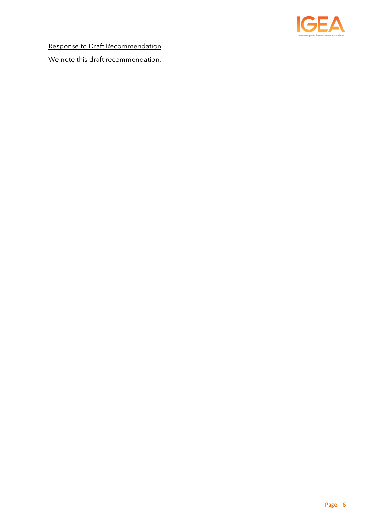

Response to Draft Recommendation

We note this draft recommendation.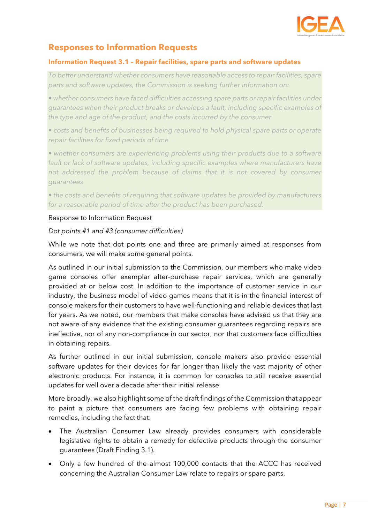

## <span id="page-7-0"></span>**Responses to Information Requests**

#### <span id="page-7-1"></span>**Information Request 3.1 – Repair facilities, spare parts and software updates**

*To better understand whether consumers have reasonable access to repair facilities, spare parts and software updates, the Commission is seeking further information on:* 

*• whether consumers have faced difficulties accessing spare parts or repair facilities under guarantees when their product breaks or develops a fault, including specific examples of the type and age of the product, and the costs incurred by the consumer* 

*• costs and benefits of businesses being required to hold physical spare parts or operate repair facilities for fixed periods of time* 

• whether consumers are experiencing problems using their products due to a software *fault or lack of software updates, including specific examples where manufacturers have not addressed the problem because of claims that it is not covered by consumer guarantees* 

*• the costs and benefits of requiring that software updates be provided by manufacturers for a reasonable period of time after the product has been purchased.*

#### Response to Information Request

#### *Dot points #1 and #3 (consumer difficulties)*

While we note that dot points one and three are primarily aimed at responses from consumers, we will make some general points.

As outlined in our initial submission to the Commission, our members who make video game consoles offer exemplar after-purchase repair services, which are generally provided at or below cost. In addition to the importance of customer service in our industry, the business model of video games means that it is in the financial interest of console makers for their customers to have well-functioning and reliable devices that last for years. As we noted, our members that make consoles have advised us that they are not aware of any evidence that the existing consumer guarantees regarding repairs are ineffective, nor of any non-compliance in our sector, nor that customers face difficulties in obtaining repairs.

As further outlined in our initial submission, console makers also provide essential software updates for their devices for far longer than likely the vast majority of other electronic products. For instance, it is common for consoles to still receive essential updates for well over a decade after their initial release.

More broadly, we also highlight some of the draft findings of the Commission that appear to paint a picture that consumers are facing few problems with obtaining repair remedies, including the fact that:

- The Australian Consumer Law already provides consumers with considerable legislative rights to obtain a remedy for defective products through the consumer guarantees (Draft Finding 3.1).
- Only a few hundred of the almost 100,000 contacts that the ACCC has received concerning the Australian Consumer Law relate to repairs or spare parts.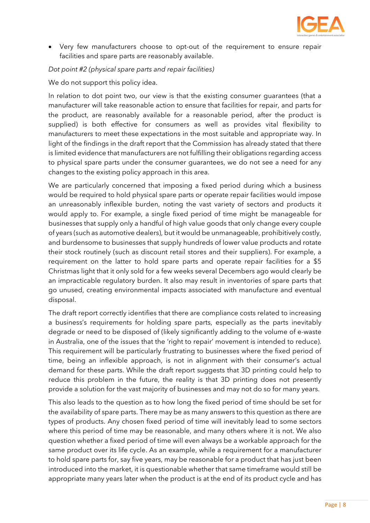

• Very few manufacturers choose to opt-out of the requirement to ensure repair facilities and spare parts are reasonably available.

#### *Dot point #2 (physical spare parts and repair facilities)*

We do not support this policy idea.

In relation to dot point two, our view is that the existing consumer guarantees (that a manufacturer will take reasonable action to ensure that facilities for repair, and parts for the product, are reasonably available for a reasonable period, after the product is supplied) is both effective for consumers as well as provides vital flexibility to manufacturers to meet these expectations in the most suitable and appropriate way. In light of the findings in the draft report that the Commission has already stated that there is limited evidence that manufacturers are not fulfilling their obligations regarding access to physical spare parts under the consumer guarantees, we do not see a need for any changes to the existing policy approach in this area.

We are particularly concerned that imposing a fixed period during which a business would be required to hold physical spare parts or operate repair facilities would impose an unreasonably inflexible burden, noting the vast variety of sectors and products it would apply to. For example, a single fixed period of time might be manageable for businesses that supply only a handful of high value goods that only change every couple of years (such as automotive dealers), but it would be unmanageable, prohibitively costly, and burdensome to businesses that supply hundreds of lower value products and rotate their stock routinely (such as discount retail stores and their suppliers). For example, a requirement on the latter to hold spare parts and operate repair facilities for a \$5 Christmas light that it only sold for a few weeks several Decembers ago would clearly be an impracticable regulatory burden. It also may result in inventories of spare parts that go unused, creating environmental impacts associated with manufacture and eventual disposal.

The draft report correctly identifies that there are compliance costs related to increasing a business's requirements for holding spare parts, especially as the parts inevitably degrade or need to be disposed of (likely significantly adding to the volume of e-waste in Australia, one of the issues that the 'right to repair' movement is intended to reduce). This requirement will be particularly frustrating to businesses where the fixed period of time, being an inflexible approach, is not in alignment with their consumer's actual demand for these parts. While the draft report suggests that 3D printing could help to reduce this problem in the future, the reality is that 3D printing does not presently provide a solution for the vast majority of businesses and may not do so for many years.

This also leads to the question as to how long the fixed period of time should be set for the availability of spare parts. There may be as many answers to this question as there are types of products. Any chosen fixed period of time will inevitably lead to some sectors where this period of time may be reasonable, and many others where it is not. We also question whether a fixed period of time will even always be a workable approach for the same product over its life cycle. As an example, while a requirement for a manufacturer to hold spare parts for, say five years, may be reasonable for a product that has just been introduced into the market, it is questionable whether that same timeframe would still be appropriate many years later when the product is at the end of its product cycle and has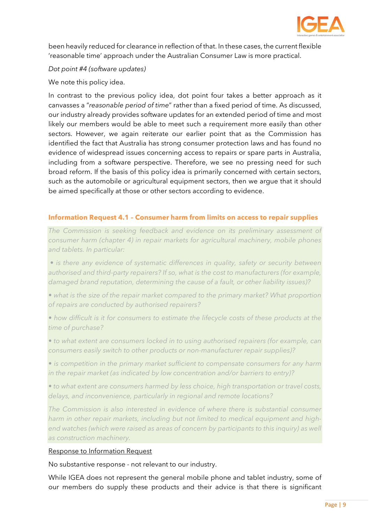

been heavily reduced for clearance in reflection of that. In these cases, the current flexible 'reasonable time' approach under the Australian Consumer Law is more practical.

*Dot point #4 (software updates)*

We note this policy idea.

In contrast to the previous policy idea, dot point four takes a better approach as it canvasses a "*reasonable period of time*" rather than a fixed period of time. As discussed, our industry already provides software updates for an extended period of time and most likely our members would be able to meet such a requirement more easily than other sectors. However, we again reiterate our earlier point that as the Commission has identified the fact that Australia has strong consumer protection laws and has found no evidence of widespread issues concerning access to repairs or spare parts in Australia, including from a software perspective. Therefore, we see no pressing need for such broad reform. If the basis of this policy idea is primarily concerned with certain sectors, such as the automobile or agricultural equipment sectors, then we argue that it should be aimed specifically at those or other sectors according to evidence.

#### <span id="page-9-0"></span>**Information Request 4.1 – Consumer harm from limits on access to repair supplies**

*The Commission is seeking feedback and evidence on its preliminary assessment of consumer harm (chapter 4) in repair markets for agricultural machinery, mobile phones and tablets. In particular:*

*• is there any evidence of systematic differences in quality, safety or security between authorised and third-party repairers? If so, what is the cost to manufacturers (for example, damaged brand reputation, determining the cause of a fault, or other liability issues)?* 

• what is the size of the repair market compared to the primary market? What proportion *of repairs are conducted by authorised repairers?* 

*• how difficult is it for consumers to estimate the lifecycle costs of these products at the time of purchase?* 

*• to what extent are consumers locked in to using authorised repairers (for example, can consumers easily switch to other products or non-manufacturer repair supplies)?* 

*• is competition in the primary market sufficient to compensate consumers for any harm in the repair market (as indicated by low concentration and/or barriers to entry)?* 

*• to what extent are consumers harmed by less choice, high transportation or travel costs, delays, and inconvenience, particularly in regional and remote locations?* 

*The Commission is also interested in evidence of where there is substantial consumer harm in other repair markets, including but not limited to medical equipment and high*end watches (which were raised as areas of concern by participants to this inquiry) as well *as construction machinery.*

#### Response to Information Request

No substantive response - not relevant to our industry.

While IGEA does not represent the general mobile phone and tablet industry, some of our members do supply these products and their advice is that there is significant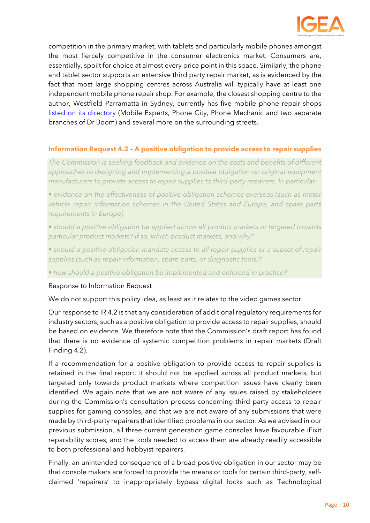

competition in the primary market, with tablets and particularly mobile phones amongst the most fiercely competitive in the consumer electronics market. Consumers are, essentially, spoilt for choice at almost every price point in this space. Similarly, the phone and tablet sector supports an extensive third party repair market, as is evidenced by the fact that most large shopping centres across Australia will typically have at least one independent mobile phone repair shop. For example, the closest shopping centre to the author, Westfield Parramatta in Sydney, currently has five mobile phone repair shops [listed on its directory](https://www.westfield.com.au/parramatta/browse-stores/electronics-and-technology) (Mobile Experts, Phone City, Phone Mechanic and two separate branches of Dr Boom) and several more on the surrounding streets.

#### <span id="page-10-0"></span>**Information Request 4.2 – A positive obligation to provide access to repair supplies**

*The Commission is seeking feedback and evidence on the costs and benefits of different approaches to designing and implementing a positive obligation on original equipment manufacturers to provide access to repair supplies to third-party repairers. In particular:* 

*• evidence on the effectiveness of positive obligation schemes overseas (such as motor vehicle repair information schemes in the United States and Europe, and spare parts requirements in Europe)* 

*• should a positive obligation be applied across all product markets or targeted towards particular product markets? If so, which product markets, and why?* 

• should a positive obligation mandate access to all repair supplies or a subset of repair *supplies (such as repair information, spare parts, or diagnostic tools)?* 

*• how should a positive obligation be implemented and enforced in practice?*

#### Response to Information Request

We do not support this policy idea, as least as it relates to the video games sector.

Our response to IR 4.2 is that any consideration of additional regulatory requirements for industry sectors, such as a positive obligation to provide access to repair supplies, should be based on evidence. We therefore note that the Commission's draft report has found that there is no evidence of systemic competition problems in repair markets (Draft Finding 4.2).

If a recommendation for a positive obligation to provide access to repair supplies is retained in the final report, it should not be applied across all product markets, but targeted only towards product markets where competition issues have clearly been identified. We again note that we are not aware of any issues raised by stakeholders during the Commission's consultation process concerning third party access to repair supplies for gaming consoles, and that we are not aware of any submissions that were made by third-party repairers that identified problems in our sector. As we advised in our previous submission, all three current generation game consoles have favourable iFixit reparability scores, and the tools needed to access them are already readily accessible to both professional and hobbyist repairers.

Finally, an unintended consequence of a broad positive obligation in our sector may be that console makers are forced to provide the means or tools for certain third-party, selfclaimed 'repairers' to inappropriately bypass digital locks such as Technological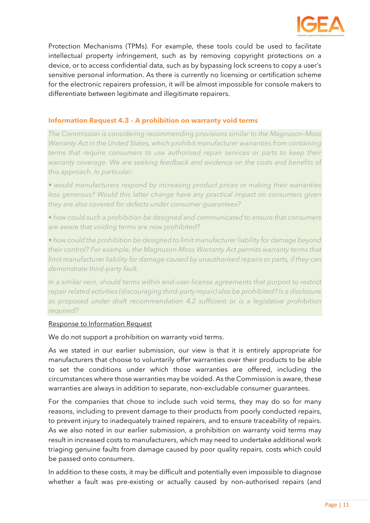

Protection Mechanisms (TPMs). For example, these tools could be used to facilitate intellectual property infringement, such as by removing copyright protections on a device, or to access confidential data, such as by bypassing lock screens to copy a user's sensitive personal information. As there is currently no licensing or certification scheme for the electronic repairers profession, it will be almost impossible for console makers to differentiate between legitimate and illegitimate repairers.

#### <span id="page-11-0"></span>**Information Request 4.3 – A prohibition on warranty void terms**

*The Commission is considering recommending provisions similar to the Magnuson-Moss Warranty Act in the United States, which prohibit manufacturer warranties from containing terms that require consumers to use authorised repair services or parts to keep their warranty coverage. We are seeking feedback and evidence on the costs and benefits of this approach. In particular:* 

*• would manufacturers respond by increasing product prices or making their warranties*  less generous? Would this latter change have any practical impact on consumers given *they are also covered for defects under consumer guarantees?* 

*• how could such a prohibition be designed and communicated to ensure that consumers are aware that voiding terms are now prohibited?* 

*• how could the prohibition be designed to limit manufacturer liability for damage beyond their control? For example, the Magnuson-Moss Warranty Act permits warranty terms that limit manufacturer liability for damage caused by unauthorised repairs or parts, if they can demonstrate third-party fault.* 

*In a similar vein, should terms within end-user license agreements that purport to restrict repair related activities (discouraging third-party repair) also be prohibited? Is a disclosure*  as proposed under draft recommendation 4.2 sufficient or is a legislative prohibition *required?*

#### Response to Information Request

We do not support a prohibition on warranty void terms.

As we stated in our earlier submission, our view is that it is entirely appropriate for manufacturers that choose to voluntarily offer warranties over their products to be able to set the conditions under which those warranties are offered, including the circumstances where those warranties may be voided. As the Commission is aware, these warranties are always in addition to separate, non-excludable consumer guarantees.

For the companies that chose to include such void terms, they may do so for many reasons, including to prevent damage to their products from poorly conducted repairs, to prevent injury to inadequately trained repairers, and to ensure traceability of repairs. As we also noted in our earlier submission, a prohibition on warranty void terms may result in increased costs to manufacturers, which may need to undertake additional work triaging genuine faults from damage caused by poor quality repairs, costs which could be passed onto consumers.

In addition to these costs, it may be difficult and potentially even impossible to diagnose whether a fault was pre-existing or actually caused by non-authorised repairs (and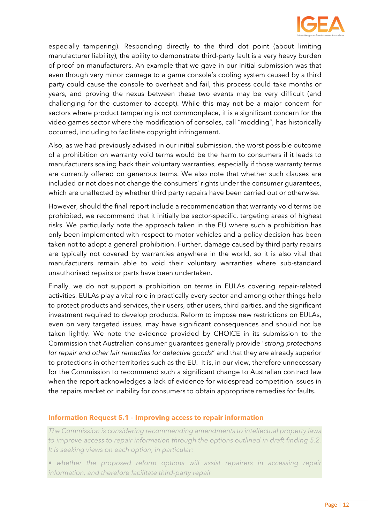

especially tampering). Responding directly to the third dot point (about limiting manufacturer liability), the ability to demonstrate third-party fault is a very heavy burden of proof on manufacturers. An example that we gave in our initial submission was that even though very minor damage to a game console's cooling system caused by a third party could cause the console to overheat and fail, this process could take months or years, and proving the nexus between these two events may be very difficult (and challenging for the customer to accept). While this may not be a major concern for sectors where product tampering is not commonplace, it is a significant concern for the video games sector where the modification of consoles, call "modding", has historically occurred, including to facilitate copyright infringement.

Also, as we had previously advised in our initial submission, the worst possible outcome of a prohibition on warranty void terms would be the harm to consumers if it leads to manufacturers scaling back their voluntary warranties, especially if those warranty terms are currently offered on generous terms. We also note that whether such clauses are included or not does not change the consumers' rights under the consumer guarantees, which are unaffected by whether third party repairs have been carried out or otherwise.

However, should the final report include a recommendation that warranty void terms be prohibited, we recommend that it initially be sector-specific, targeting areas of highest risks. We particularly note the approach taken in the EU where such a prohibition has only been implemented with respect to motor vehicles and a policy decision has been taken not to adopt a general prohibition. Further, damage caused by third party repairs are typically not covered by warranties anywhere in the world, so it is also vital that manufacturers remain able to void their voluntary warranties where sub-standard unauthorised repairs or parts have been undertaken.

Finally, we do not support a prohibition on terms in EULAs covering repair-related activities. EULAs play a vital role in practically every sector and among other things help to protect products and services, their users, other users, third parties, and the significant investment required to develop products. Reform to impose new restrictions on EULAs, even on very targeted issues, may have significant consequences and should not be taken lightly. We note the evidence provided by CHOICE in its submission to the Commission that Australian consumer guarantees generally provide "*strong protections for repair and other fair remedies for defective goods*" and that they are already superior to protections in other territories such as the EU. It is, in our view, therefore unnecessary for the Commission to recommend such a significant change to Australian contract law when the report acknowledges a lack of evidence for widespread competition issues in the repairs market or inability for consumers to obtain appropriate remedies for faults.

#### <span id="page-12-0"></span>**Information Request 5.1 – Improving access to repair information**

*The Commission is considering recommending amendments to intellectual property laws to improve access to repair information through the options outlined in draft finding 5.2. It is seeking views on each option, in particular:* 

*• whether the proposed reform options will assist repairers in accessing repair information, and therefore facilitate third-party repair*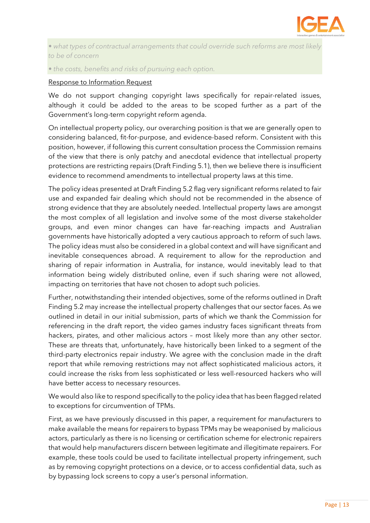

*• what types of contractual arrangements that could override such reforms are most likely to be of concern* 

*• the costs, benefits and risks of pursuing each option.*

#### Response to Information Request

We do not support changing copyright laws specifically for repair-related issues, although it could be added to the areas to be scoped further as a part of the Government's long-term copyright reform agenda.

On intellectual property policy, our overarching position is that we are generally open to considering balanced, fit-for-purpose, and evidence-based reform. Consistent with this position, however, if following this current consultation process the Commission remains of the view that there is only patchy and anecdotal evidence that intellectual property protections are restricting repairs (Draft Finding 5.1), then we believe there is insufficient evidence to recommend amendments to intellectual property laws at this time.

The policy ideas presented at Draft Finding 5.2 flag very significant reforms related to fair use and expanded fair dealing which should not be recommended in the absence of strong evidence that they are absolutely needed. Intellectual property laws are amongst the most complex of all legislation and involve some of the most diverse stakeholder groups, and even minor changes can have far-reaching impacts and Australian governments have historically adopted a very cautious approach to reform of such laws. The policy ideas must also be considered in a global context and will have significant and inevitable consequences abroad. A requirement to allow for the reproduction and sharing of repair information in Australia, for instance, would inevitably lead to that information being widely distributed online, even if such sharing were not allowed, impacting on territories that have not chosen to adopt such policies.

Further, notwithstanding their intended objectives, some of the reforms outlined in Draft Finding 5.2 may increase the intellectual property challenges that our sector faces. As we outlined in detail in our initial submission, parts of which we thank the Commission for referencing in the draft report, the video games industry faces significant threats from hackers, pirates, and other malicious actors – most likely more than any other sector. These are threats that, unfortunately, have historically been linked to a segment of the third-party electronics repair industry. We agree with the conclusion made in the draft report that while removing restrictions may not affect sophisticated malicious actors, it could increase the risks from less sophisticated or less well-resourced hackers who will have better access to necessary resources.

We would also like to respond specifically to the policy idea that has been flagged related to exceptions for circumvention of TPMs.

First, as we have previously discussed in this paper, a requirement for manufacturers to make available the means for repairers to bypass TPMs may be weaponised by malicious actors, particularly as there is no licensing or certification scheme for electronic repairers that would help manufacturers discern between legitimate and illegitimate repairers. For example, these tools could be used to facilitate intellectual property infringement, such as by removing copyright protections on a device, or to access confidential data, such as by bypassing lock screens to copy a user's personal information.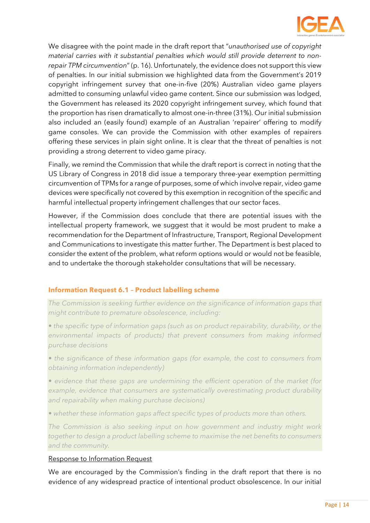

We disagree with the point made in the draft report that "*unauthorised use of copyright material carries with it substantial penalties which would still provide deterrent to nonrepair TPM circumvention*" (p. 16). Unfortunately, the evidence does not support this view of penalties. In our initial submission we highlighted data from the Government's 2019 copyright infringement survey that one-in-five (20%) Australian video game players admitted to consuming unlawful video game content. Since our submission was lodged, the Government has released its 2020 copyright infringement survey, which found that the proportion has risen dramatically to almost one-in-three (31%). Our initial submission also included an (easily found) example of an Australian 'repairer' offering to modify game consoles. We can provide the Commission with other examples of repairers offering these services in plain sight online. It is clear that the threat of penalties is not providing a strong deterrent to video game piracy.

Finally, we remind the Commission that while the draft report is correct in noting that the US Library of Congress in 2018 did issue a temporary three-year exemption permitting circumvention of TPMs for a range of purposes, some of which involve repair, video game devices were specifically not covered by this exemption in recognition of the specific and harmful intellectual property infringement challenges that our sector faces.

However, if the Commission does conclude that there are potential issues with the intellectual property framework, we suggest that it would be most prudent to make a recommendation for the Department of Infrastructure, Transport, Regional Development and Communications to investigate this matter further. The Department is best placed to consider the extent of the problem, what reform options would or would not be feasible, and to undertake the thorough stakeholder consultations that will be necessary.

#### <span id="page-14-0"></span>**Information Request 6.1 – Product labelling scheme**

*The Commission is seeking further evidence on the significance of information gaps that might contribute to premature obsolescence, including:* 

*• the specific type of information gaps (such as on product repairability, durability, or the environmental impacts of products) that prevent consumers from making informed purchase decisions* 

• the significance of these information gaps (for example, the cost to consumers from *obtaining information independently)* 

*• evidence that these gaps are undermining the efficient operation of the market (for*  example, evidence that consumers are systematically overestimating product durability *and repairability when making purchase decisions)* 

*• whether these information gaps affect specific types of products more than others.* 

*The Commission is also seeking input on how government and industry might work together to design a product labelling scheme to maximise the net benefits to consumers and the community.*

#### Response to Information Request

We are encouraged by the Commission's finding in the draft report that there is no evidence of any widespread practice of intentional product obsolescence. In our initial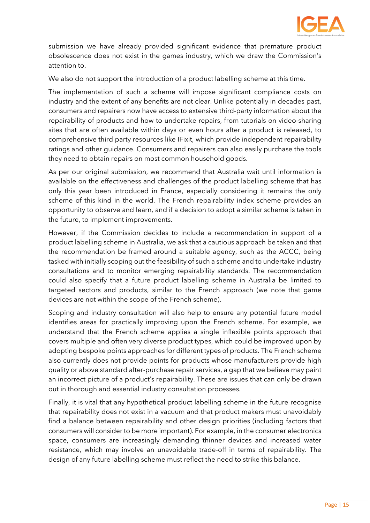

submission we have already provided significant evidence that premature product obsolescence does not exist in the games industry, which we draw the Commission's attention to.

We also do not support the introduction of a product labelling scheme at this time.

The implementation of such a scheme will impose significant compliance costs on industry and the extent of any benefits are not clear. Unlike potentially in decades past, consumers and repairers now have access to extensive third-party information about the repairability of products and how to undertake repairs, from tutorials on video-sharing sites that are often available within days or even hours after a product is released, to comprehensive third party resources like IFixit, which provide independent repairability ratings and other guidance. Consumers and repairers can also easily purchase the tools they need to obtain repairs on most common household goods.

As per our original submission, we recommend that Australia wait until information is available on the effectiveness and challenges of the product labelling scheme that has only this year been introduced in France, especially considering it remains the only scheme of this kind in the world. The French repairability index scheme provides an opportunity to observe and learn, and if a decision to adopt a similar scheme is taken in the future, to implement improvements.

However, if the Commission decides to include a recommendation in support of a product labelling scheme in Australia, we ask that a cautious approach be taken and that the recommendation be framed around a suitable agency, such as the ACCC, being tasked with initially scoping out the feasibility of such a scheme and to undertake industry consultations and to monitor emerging repairability standards. The recommendation could also specify that a future product labelling scheme in Australia be limited to targeted sectors and products, similar to the French approach (we note that game devices are not within the scope of the French scheme).

Scoping and industry consultation will also help to ensure any potential future model identifies areas for practically improving upon the French scheme. For example, we understand that the French scheme applies a single inflexible points approach that covers multiple and often very diverse product types, which could be improved upon by adopting bespoke points approaches for different types of products. The French scheme also currently does not provide points for products whose manufacturers provide high quality or above standard after-purchase repair services, a gap that we believe may paint an incorrect picture of a product's repairability. These are issues that can only be drawn out in thorough and essential industry consultation processes.

Finally, it is vital that any hypothetical product labelling scheme in the future recognise that repairability does not exist in a vacuum and that product makers must unavoidably find a balance between repairability and other design priorities (including factors that consumers will consider to be more important). For example, in the consumer electronics space, consumers are increasingly demanding thinner devices and increased water resistance, which may involve an unavoidable trade-off in terms of repairability. The design of any future labelling scheme must reflect the need to strike this balance.